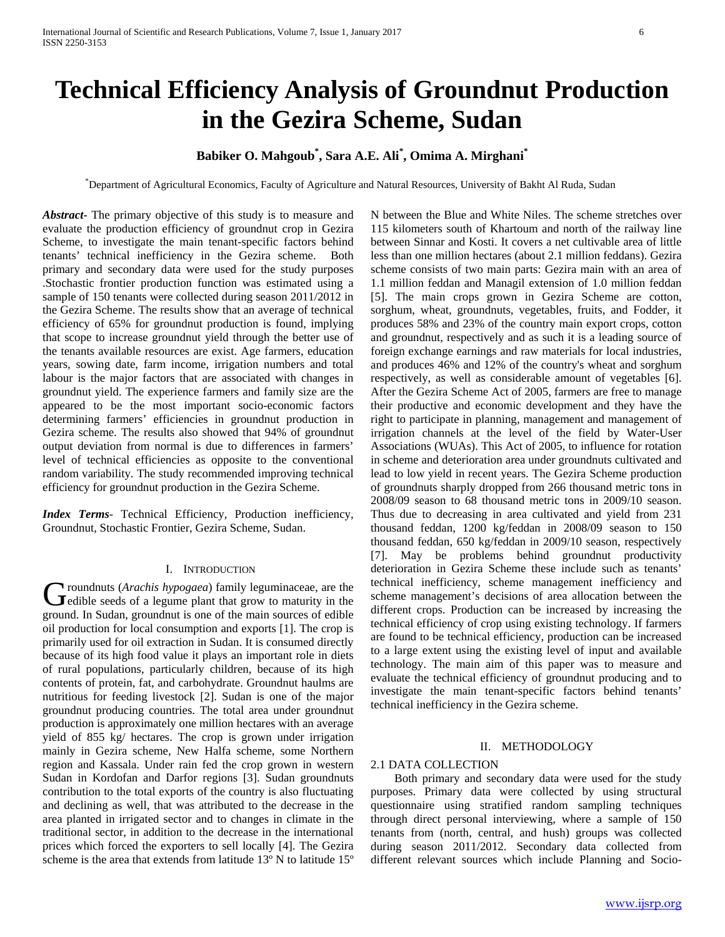# **Technical Efficiency Analysis of Groundnut Production in the Gezira Scheme, Sudan**

## **Babiker O. Mahgoub\* , Sara A.E. Ali\* , Omima A. Mirghani\***

\* Department of Agricultural Economics, Faculty of Agriculture and Natural Resources, University of Bakht Al Ruda, Sudan

*Abstract***-** The primary objective of this study is to measure and evaluate the production efficiency of groundnut crop in Gezira Scheme, to investigate the main tenant-specific factors behind tenants' technical inefficiency in the Gezira scheme. Both primary and secondary data were used for the study purposes .Stochastic frontier production function was estimated using a sample of 150 tenants were collected during season 2011/2012 in the Gezira Scheme. The results show that an average of technical efficiency of 65% for groundnut production is found, implying that scope to increase groundnut yield through the better use of the tenants available resources are exist. Age farmers, education years, sowing date, farm income, irrigation numbers and total labour is the major factors that are associated with changes in groundnut yield. The experience farmers and family size are the appeared to be the most important socio-economic factors determining farmers' efficiencies in groundnut production in Gezira scheme. The results also showed that 94% of groundnut output deviation from normal is due to differences in farmers' level of technical efficiencies as opposite to the conventional random variability. The study recommended improving technical efficiency for groundnut production in the Gezira Scheme.

*Index Terms*- Technical Efficiency, Production inefficiency, Groundnut, Stochastic Frontier, Gezira Scheme, Sudan.

#### I. INTRODUCTION

roundnuts (*Arachis hypogaea*) family leguminaceae, are the Groundnuts (*Arachis hypogaea*) family leguminaceae, are the edible seeds of a legume plant that grow to maturity in the ground. In Sudan, groundnut is one of the main sources of edible oil production for local consumption and exports [1]. The crop is primarily used for oil extraction in Sudan. It is consumed directly because of its high food value it plays an important role in diets of rural populations, particularly children, because of its high contents of protein, fat, and carbohydrate. Groundnut haulms are nutritious for feeding livestock [2]. Sudan is one of the major groundnut producing countries. The total area under groundnut production is approximately one million hectares with an average yield of 855 kg/ hectares. The crop is grown under irrigation mainly in Gezira scheme, New Halfa scheme, some Northern region and Kassala. Under rain fed the crop grown in western Sudan in Kordofan and Darfor regions [3]. Sudan groundnuts contribution to the total exports of the country is also fluctuating and declining as well, that was attributed to the decrease in the area planted in irrigated sector and to changes in climate in the traditional sector, in addition to the decrease in the international prices which forced the exporters to sell locally [4]. The Gezira scheme is the area that extends from latitude 13º N to latitude 15º

N between the Blue and White Niles. The scheme stretches over 115 kilometers south of Khartoum and north of the railway line between Sinnar and Kosti. It covers a net cultivable area of little less than one million hectares (about 2.1 million feddans). Gezira scheme consists of two main parts: Gezira main with an area of 1.1 million feddan and Managil extension of 1.0 million feddan [5]. The main crops grown in Gezira Scheme are cotton, sorghum, wheat, groundnuts, vegetables, fruits, and Fodder, it produces 58% and 23% of the country main export crops, cotton and groundnut, respectively and as such it is a leading source of foreign exchange earnings and raw materials for local industries, and produces 46% and 12% of the country's wheat and sorghum respectively, as well as considerable amount of vegetables [6]. After the Gezira Scheme Act of 2005, farmers are free to manage their productive and economic development and they have the right to participate in planning, management and management of irrigation channels at the level of the field by Water-User Associations (WUAs). This Act of 2005, to influence for rotation in scheme and deterioration area under groundnuts cultivated and lead to low yield in recent years. The Gezira Scheme production of groundnuts sharply dropped from 266 thousand metric tons in 2008/09 season to 68 thousand metric tons in 2009/10 season. Thus due to decreasing in area cultivated and yield from 231 thousand feddan, 1200 kg/feddan in 2008/09 season to 150 thousand feddan, 650 kg/feddan in 2009/10 season, respectively [7]. May be problems behind groundnut productivity deterioration in Gezira Scheme these include such as tenants' technical inefficiency, scheme management inefficiency and scheme management's decisions of area allocation between the different crops. Production can be increased by increasing the technical efficiency of crop using existing technology. If farmers are found to be technical efficiency, production can be increased to a large extent using the existing level of input and available technology. The main aim of this paper was to measure and evaluate the technical efficiency of groundnut producing and to investigate the main tenant-specific factors behind tenants' technical inefficiency in the Gezira scheme.

### II. METHODOLOGY

#### 2.1 DATA COLLECTION

 Both primary and secondary data were used for the study purposes. Primary data were collected by using structural questionnaire using stratified random sampling techniques through direct personal interviewing, where a sample of 150 tenants from (north, central, and hush) groups was collected during season 2011/2012. Secondary data collected from different relevant sources which include Planning and Socio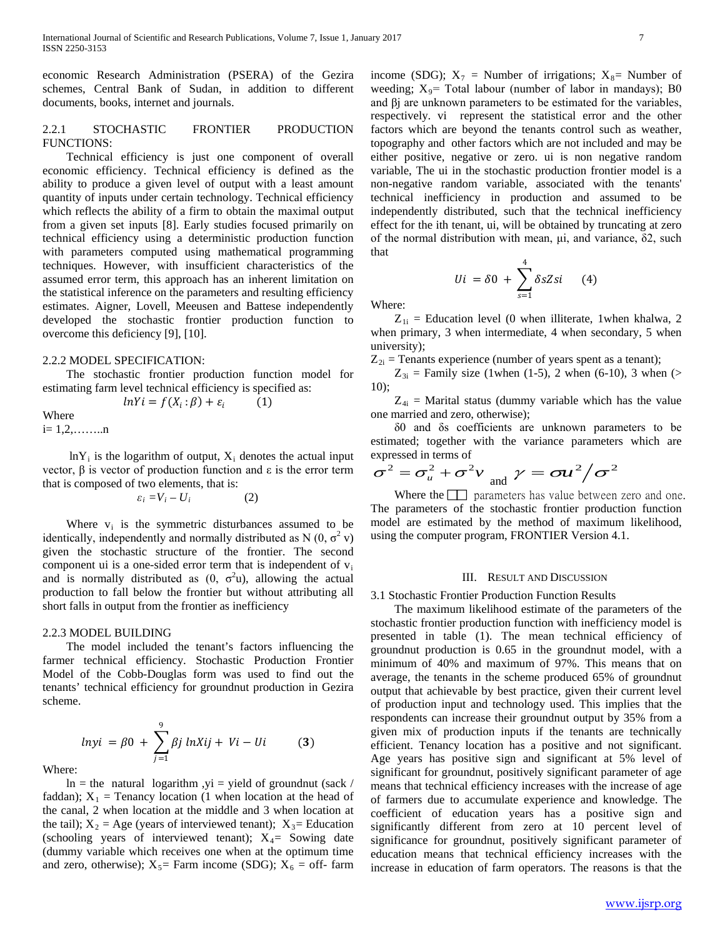economic Research Administration (PSERA) of the Gezira schemes, Central Bank of Sudan, in addition to different documents, books, internet and journals.

## 2.2.1 STOCHASTIC FRONTIER PRODUCTION FUNCTIONS:

 Technical efficiency is just one component of overall economic efficiency. Technical efficiency is defined as the ability to produce a given level of output with a least amount quantity of inputs under certain technology. Technical efficiency which reflects the ability of a firm to obtain the maximal output from a given set inputs [8]. Early studies focused primarily on technical efficiency using a deterministic production function with parameters computed using mathematical programming techniques. However, with insufficient characteristics of the assumed error term, this approach has an inherent limitation on the statistical inference on the parameters and resulting efficiency estimates. Aigner, Lovell, Meeusen and Battese independently developed the stochastic frontier production function to overcome this deficiency [9], [10].

#### 2.2.2 MODEL SPECIFICATION:

 The stochastic frontier production function model for estimating farm level technical efficiency is specified as:

$$
lnYi = f(X_i : \beta) + \varepsilon_i \qquad (1)
$$

Where i= 1,2,……..n

 $lnY_i$  is the logarithm of output,  $X_i$  denotes the actual input vector, β is vector of production function and ε is the error term that is composed of two elements, that is:

$$
\varepsilon_i = V_i - U_i \tag{2}
$$

Where  $v_i$  is the symmetric disturbances assumed to be identically, independently and normally distributed as N  $(0, \sigma^2 v)$ given the stochastic structure of the frontier. The second component ui is a one-sided error term that is independent of  $v_i$ and is normally distributed as  $(0, \sigma^2 u)$ , allowing the actual production to fall below the frontier but without attributing all short falls in output from the frontier as inefficiency

#### 2.2.3 MODEL BUILDING

 The model included the tenant's factors influencing the farmer technical efficiency. Stochastic Production Frontier Model of the Cobb-Douglas form was used to find out the tenants' technical efficiency for groundnut production in Gezira scheme.

$$
lnyi = \beta 0 + \sum_{j=1}^{9} \beta j lnXij + Vi - Ui \tag{3}
$$

Where:

 $ln = the$  natural logarithm ,yi = yield of groundnut (sack / faddan);  $X_1$  = Tenancy location (1 when location at the head of the canal, 2 when location at the middle and 3 when location at the tail);  $X_2 = Age$  (years of interviewed tenant);  $X_3 = Education$ (schooling years of interviewed tenant);  $X_4$  = Sowing date (dummy variable which receives one when at the optimum time and zero, otherwise);  $X_5$ = Farm income (SDG);  $X_6$  = off- farm

income (SDG);  $X_7$  = Number of irrigations;  $X_8$ = Number of weeding;  $X_9$ = Total labour (number of labor in mandays); B0 and βj are unknown parameters to be estimated for the variables, respectively. vi represent the statistical error and the other factors which are beyond the tenants control such as weather, topography and other factors which are not included and may be either positive, negative or zero. ui is non negative random variable, The ui in the stochastic production frontier model is a non-negative random variable, associated with the tenants' technical inefficiency in production and assumed to be independently distributed, such that the technical inefficiency effect for the ith tenant, ui, will be obtained by truncating at zero of the normal distribution with mean, μi, and variance, δ2, such that

$$
Ui = \delta 0 + \sum_{s=1}^{4} \delta s Zsi \qquad (4)
$$

Where:

 $Z_{1i}$  = Education level (0 when illiterate, 1when khalwa, 2 when primary, 3 when intermediate, 4 when secondary, 5 when university);

 $Z_{2i}$  = Tenants experience (number of years spent as a tenant);

 $Z_{3i}$  = Family size (1when (1-5), 2 when (6-10), 3 when (> 10);

 $Z_{4i}$  = Marital status (dummy variable which has the value one married and zero, otherwise);

 δ0 and δs coefficients are unknown parameters to be estimated; together with the variance parameters which are expressed in terms of

$$
\sigma^2 = \sigma_u^2 + \sigma^2 v_{\text{and}} \gamma = \sigma u^2 / \sigma^2
$$

Where the  $\Box$  parameters has value between zero and one. The parameters of the stochastic frontier production function model are estimated by the method of maximum likelihood, using the computer program, FRONTIER Version 4.1.

#### III. RESULT AND DISCUSSION

3.1 Stochastic Frontier Production Function Results

 The maximum likelihood estimate of the parameters of the stochastic frontier production function with inefficiency model is presented in table (1). The mean technical efficiency of groundnut production is 0.65 in the groundnut model, with a minimum of 40% and maximum of 97%. This means that on average, the tenants in the scheme produced 65% of groundnut output that achievable by best practice, given their current level of production input and technology used. This implies that the respondents can increase their groundnut output by 35% from a given mix of production inputs if the tenants are technically efficient. Tenancy location has a positive and not significant. Age years has positive sign and significant at 5% level of significant for groundnut, positively significant parameter of age means that technical efficiency increases with the increase of age of farmers due to accumulate experience and knowledge. The coefficient of education years has a positive sign and significantly different from zero at 10 percent level of significance for groundnut, positively significant parameter of education means that technical efficiency increases with the increase in education of farm operators. The reasons is that the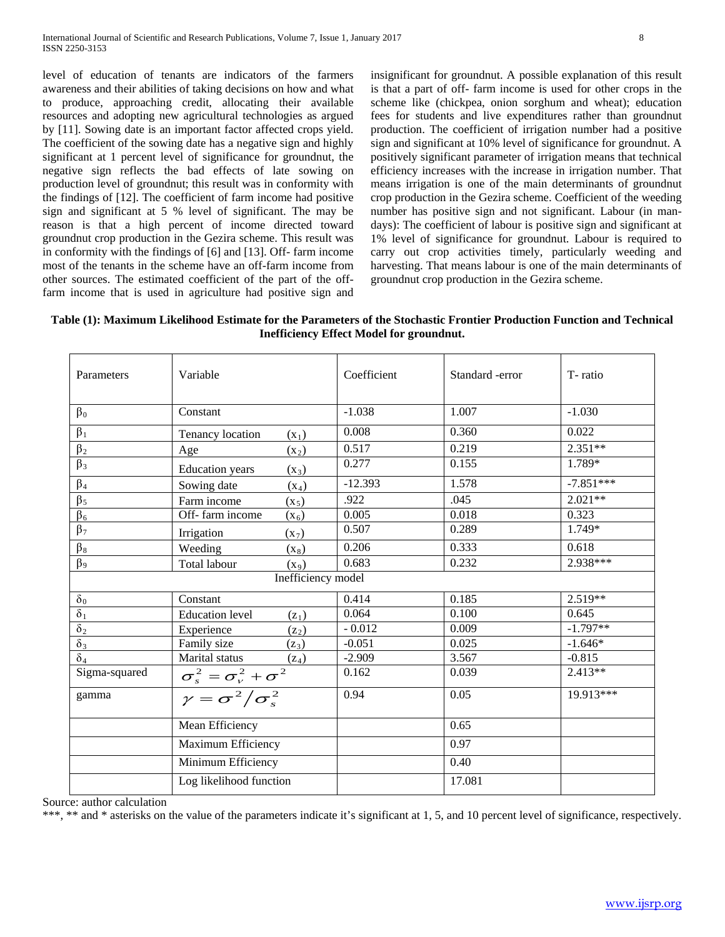level of education of tenants are indicators of the farmers awareness and their abilities of taking decisions on how and what to produce, approaching credit, allocating their available resources and adopting new agricultural technologies as argued by [11]. Sowing date is an important factor affected crops yield. The coefficient of the sowing date has a negative sign and highly significant at 1 percent level of significance for groundnut, the negative sign reflects the bad effects of late sowing on production level of groundnut; this result was in conformity with the findings of [12]. The coefficient of farm income had positive sign and significant at 5 % level of significant. The may be reason is that a high percent of income directed toward groundnut crop production in the Gezira scheme. This result was in conformity with the findings of [6] and [13]. Off- farm income most of the tenants in the scheme have an off-farm income from other sources. The estimated coefficient of the part of the offfarm income that is used in agriculture had positive sign and insignificant for groundnut. A possible explanation of this result is that a part of off- farm income is used for other crops in the scheme like (chickpea, onion sorghum and wheat); education fees for students and live expenditures rather than groundnut production. The coefficient of irrigation number had a positive sign and significant at 10% level of significance for groundnut. A positively significant parameter of irrigation means that technical efficiency increases with the increase in irrigation number. That means irrigation is one of the main determinants of groundnut crop production in the Gezira scheme. Coefficient of the weeding number has positive sign and not significant. Labour (in mandays): The coefficient of labour is positive sign and significant at 1% level of significance for groundnut. Labour is required to carry out crop activities timely, particularly weeding and harvesting. That means labour is one of the main determinants of groundnut crop production in the Gezira scheme.

**Table (1): Maximum Likelihood Estimate for the Parameters of the Stochastic Frontier Production Function and Technical Inefficiency Effect Model for groundnut.**

| Parameters            | Variable                             | Coefficient | Standard -error | T-ratio     |
|-----------------------|--------------------------------------|-------------|-----------------|-------------|
| $\beta_0$             | Constant                             | $-1.038$    | 1.007           | $-1.030$    |
| $\beta_1$             | Tenancy location<br>$(x_1)$          | 0.008       | 0.360           | 0.022       |
| $\beta_2$             | Age<br>$(x_2)$                       | 0.517       | 0.219           | $2.351**$   |
| $\beta_3$             | <b>Education</b> years<br>$(x_3)$    | 0.277       | 0.155           | 1.789*      |
| $\beta_4$             | Sowing date<br>$(x_4)$               | $-12.393$   | 1.578           | $-7.851***$ |
| $\overline{\beta_5}$  | Farm income<br>$(x_5)$               | .922        | .045            | $2.021**$   |
| $\beta_6$             | Off-farm income<br>$(X_6)$           | 0.005       | 0.018           | 0.323       |
| $\beta_7$             | Irrigation<br>$(X_7)$                | 0.507       | 0.289           | 1.749*      |
| $\beta_8$             | Weeding<br>$(x_8)$                   | 0.206       | 0.333           | 0.618       |
| $\overline{\beta_9}$  | Total labour<br>$(x_9)$              | 0.683       | 0.232           | 2.938***    |
|                       | Inefficiency model                   |             |                 |             |
| $\delta_0$            | Constant                             | 0.414       | 0.185           | 2.519**     |
| $\delta_1$            | <b>Education</b> level<br>$(z_1)$    | 0.064       | 0.100           | 0.645       |
| $\overline{\delta_2}$ | Experience<br>$(z_2)$                | $-0.012$    | 0.009           | $-1.797**$  |
| $\delta_3$            | Family size<br>$(\mathbf{z}_3)$      | $-0.051$    | 0.025           | $-1.646*$   |
| $\delta_4$            | Marital status<br>$(z_4)$            | $-2.909$    | 3.567           | $-0.815$    |
| Sigma-squared         | $\sigma_s^2 = \sigma_v^2 + \sigma^2$ | 0.162       | 0.039           | $2.413**$   |
| gamma                 | $\gamma = \sigma^2/\sigma_s^2$       | 0.94        | 0.05            | $19.913***$ |
|                       | Mean Efficiency                      |             | 0.65            |             |
|                       | Maximum Efficiency                   |             | 0.97            |             |
|                       | Minimum Efficiency                   |             | 0.40            |             |
|                       | Log likelihood function              |             | 17.081          |             |

Source: author calculation

\*\*\*, \*\* and \* asterisks on the value of the parameters indicate it's significant at 1, 5, and 10 percent level of significance, respectively.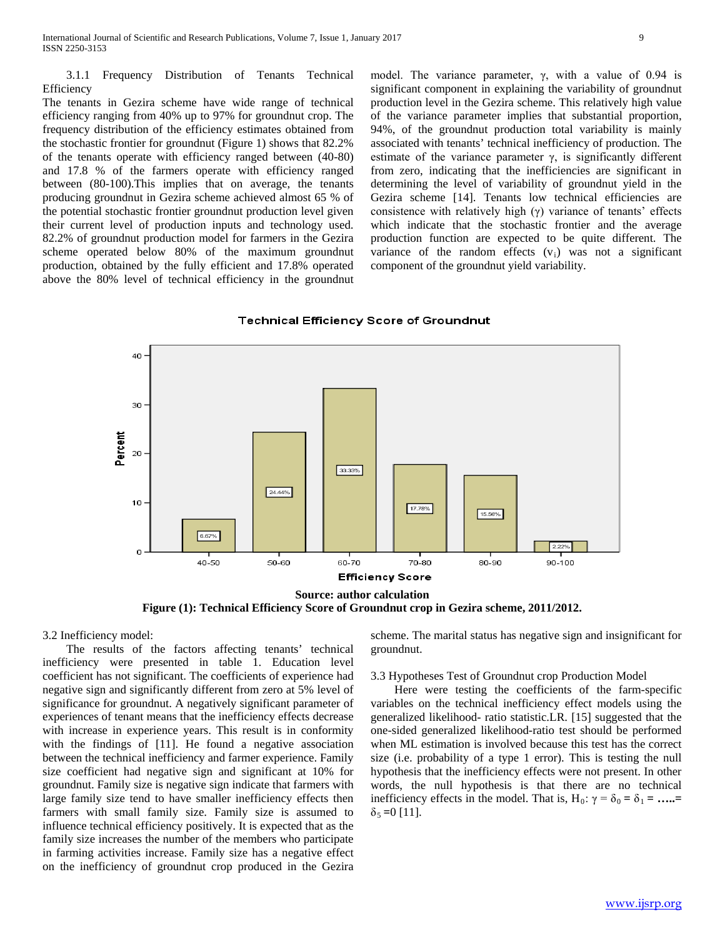3.1.1 Frequency Distribution of Tenants Technical Efficiency

The tenants in Gezira scheme have wide range of technical efficiency ranging from 40% up to 97% for groundnut crop. The frequency distribution of the efficiency estimates obtained from the stochastic frontier for groundnut (Figure 1) shows that 82.2% of the tenants operate with efficiency ranged between (40-80) and 17.8 % of the farmers operate with efficiency ranged between (80-100).This implies that on average, the tenants producing groundnut in Gezira scheme achieved almost 65 % of the potential stochastic frontier groundnut production level given their current level of production inputs and technology used. 82.2% of groundnut production model for farmers in the Gezira scheme operated below 80% of the maximum groundnut production, obtained by the fully efficient and 17.8% operated above the 80% level of technical efficiency in the groundnut model. The variance parameter, γ, with a value of 0.94 is significant component in explaining the variability of groundnut production level in the Gezira scheme. This relatively high value of the variance parameter implies that substantial proportion, 94%, of the groundnut production total variability is mainly associated with tenants' technical inefficiency of production. The estimate of the variance parameter  $\gamma$ , is significantly different from zero, indicating that the inefficiencies are significant in determining the level of variability of groundnut yield in the Gezira scheme [14]. Tenants low technical efficiencies are consistence with relatively high (γ) variance of tenants' effects which indicate that the stochastic frontier and the average production function are expected to be quite different. The variance of the random effects  $(v_i)$  was not a significant component of the groundnut yield variability.

## **Technical Efficiency Score of Groundnut**



**Figure (1): Technical Efficiency Score of Groundnut crop in Gezira scheme, 2011/2012.**

3.2 Inefficiency model:

 The results of the factors affecting tenants' technical inefficiency were presented in table 1. Education level coefficient has not significant. The coefficients of experience had negative sign and significantly different from zero at 5% level of significance for groundnut. A negatively significant parameter of experiences of tenant means that the inefficiency effects decrease with increase in experience years. This result is in conformity with the findings of [11]. He found a negative association between the technical inefficiency and farmer experience. Family size coefficient had negative sign and significant at 10% for groundnut. Family size is negative sign indicate that farmers with large family size tend to have smaller inefficiency effects then farmers with small family size. Family size is assumed to influence technical efficiency positively. It is expected that as the family size increases the number of the members who participate in farming activities increase. Family size has a negative effect on the inefficiency of groundnut crop produced in the Gezira scheme. The marital status has negative sign and insignificant for groundnut.

3.3 Hypotheses Test of Groundnut crop Production Model

 Here were testing the coefficients of the farm-specific variables on the technical inefficiency effect models using the generalized likelihood- ratio statistic.LR. [15] suggested that the one-sided generalized likelihood-ratio test should be performed when ML estimation is involved because this test has the correct size (i.e. probability of a type 1 error). This is testing the null hypothesis that the inefficiency effects were not present. In other words, the null hypothesis is that there are no technical inefficiency effects in the model. That is,  $H_0: \gamma = \delta_0 = \delta_1 = \dots =$  $\delta_5 = 0$  [11].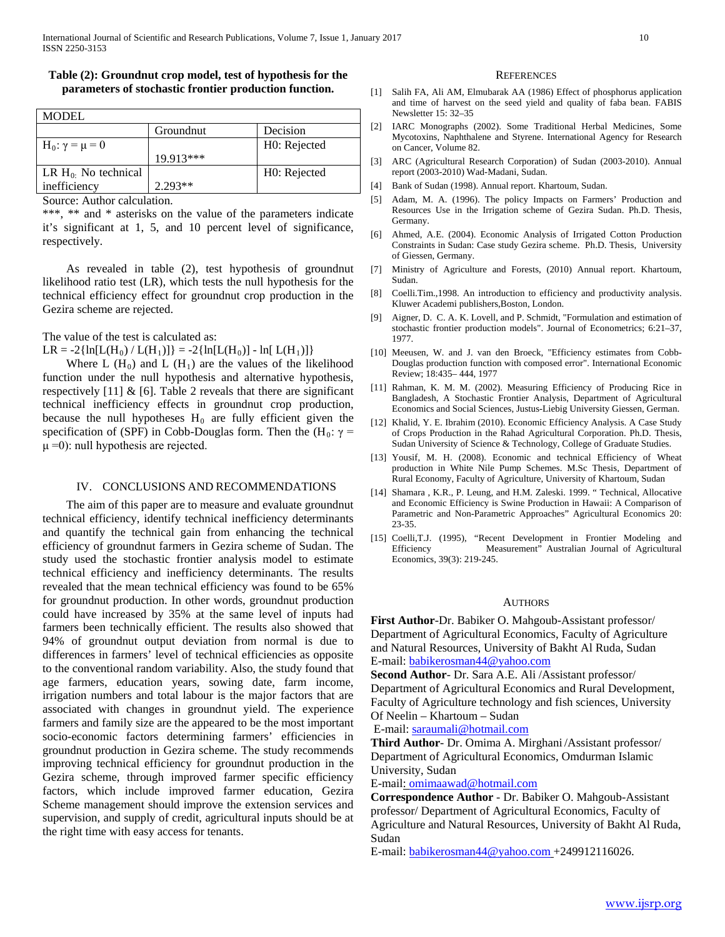## **Table (2): Groundnut crop model, test of hypothesis for the parameters of stochastic frontier production function.**

| <b>MODEL</b>               |             |              |  |  |
|----------------------------|-------------|--------------|--|--|
|                            | Groundnut   | Decision     |  |  |
| H <sub>0</sub> : γ = μ = 0 |             | H0: Rejected |  |  |
|                            | $19.913***$ |              |  |  |
| LR $H_0$ : No technical    |             | H0: Rejected |  |  |
| inefficiency               | $2.293**$   |              |  |  |

Source: Author calculation.

\*\*\*, \*\* and \* asterisks on the value of the parameters indicate it's significant at 1, 5, and 10 percent level of significance, respectively.

 As revealed in table (2), test hypothesis of groundnut likelihood ratio test (LR), which tests the null hypothesis for the technical efficiency effect for groundnut crop production in the Gezira scheme are rejected.

The value of the test is calculated as:

 $LR = -2\{ln[L(H_0) / L(H_1)]\} = -2\{ln[L(H_0)] - ln[L(H_1)]\}$ 

Where L  $(H_0)$  and L  $(H_1)$  are the values of the likelihood function under the null hypothesis and alternative hypothesis, respectively  $[11]$  &  $[6]$ . Table 2 reveals that there are significant technical inefficiency effects in groundnut crop production, because the null hypotheses  $H_0$  are fully efficient given the specification of (SPF) in Cobb-Douglas form. Then the (H<sub>0</sub>:  $\gamma$  =  $\mu$  =0): null hypothesis are rejected.

## IV. CONCLUSIONS AND RECOMMENDATIONS

 The aim of this paper are to measure and evaluate groundnut technical efficiency, identify technical inefficiency determinants and quantify the technical gain from enhancing the technical efficiency of groundnut farmers in Gezira scheme of Sudan. The study used the stochastic frontier analysis model to estimate technical efficiency and inefficiency determinants. The results revealed that the mean technical efficiency was found to be 65% for groundnut production. In other words, groundnut production could have increased by 35% at the same level of inputs had farmers been technically efficient. The results also showed that 94% of groundnut output deviation from normal is due to differences in farmers' level of technical efficiencies as opposite to the conventional random variability. Also, the study found that age farmers, education years, sowing date, farm income, irrigation numbers and total labour is the major factors that are associated with changes in groundnut yield. The experience farmers and family size are the appeared to be the most important socio-economic factors determining farmers' efficiencies in groundnut production in Gezira scheme. The study recommends improving technical efficiency for groundnut production in the Gezira scheme, through improved farmer specific efficiency factors, which include improved farmer education, Gezira Scheme management should improve the extension services and supervision, and supply of credit, agricultural inputs should be at the right time with easy access for tenants.

#### **REFERENCES**

- [1] Salih FA, Ali AM, Elmubarak AA (1986) Effect of phosphorus application and time of harvest on the seed yield and quality of faba bean. FABIS Newsletter 15: 32–35
- [2] IARC Monographs (2002). Some Traditional Herbal Medicines, Some Mycotoxins, Naphthalene and Styrene. International Agency for Research on Cancer, Volume 82.
- [3] ARC (Agricultural Research Corporation) of Sudan (2003-2010). Annual report (2003-2010) Wad-Madani, Sudan.
- [4] Bank of Sudan (1998). Annual report. Khartoum, Sudan.
- [5] Adam, M. A. (1996). The policy Impacts on Farmers' Production and Resources Use in the Irrigation scheme of Gezira Sudan. Ph.D. Thesis, Germany.
- [6] Ahmed, A.E. (2004). Economic Analysis of Irrigated Cotton Production Constraints in Sudan: Case study Gezira scheme. Ph.D. Thesis, University of Giessen, Germany.
- [7] Ministry of Agriculture and Forests, (2010) Annual report. Khartoum, Sudan.
- [8] Coelli.Tim.,1998. An introduction to efficiency and productivity analysis. Kluwer Academi publishers,Boston, London.
- [9] Aigner, D. C. A. K. Lovell, and P. Schmidt, "Formulation and estimation of stochastic frontier production models". Journal of Econometrics; 6:21–37, 1977.
- [10] Meeusen, W. and J. van den Broeck, "Efficiency estimates from Cobb-Douglas production function with composed error". International Economic Review; 18:435– 444, 1977
- [11] Rahman, K. M. M. (2002). Measuring Efficiency of Producing Rice in Bangladesh, A Stochastic Frontier Analysis, Department of Agricultural Economics and Social Sciences, Justus-Liebig University Giessen, German.
- [12] Khalid, Y. E. Ibrahim (2010). Economic Efficiency Analysis. A Case Study of Crops Production in the Rahad Agricultural Corporation. Ph.D. Thesis, Sudan University of Science & Technology, College of Graduate Studies.
- [13] Yousif, M. H. (2008). Economic and technical Efficiency of Wheat production in White Nile Pump Schemes. M.Sc Thesis, Department of Rural Economy, Faculty of Agriculture, University of Khartoum, Sudan
- [14] Shamara , K.R., P. Leung, and H.M. Zaleski. 1999. " Technical, Allocative and Economic Efficiency is Swine Production in Hawaii: A Comparison of Parametric and Non-Parametric Approaches" Agricultural Economics 20: 23-35.
- [15] Coelli,T.J. (1995), "Recent Development in Frontier Modeling and Efficiency Measurement" Australian Journal of Agricultural Economics, 39(3): 219-245.

#### **AUTHORS**

**First Author**-Dr. Babiker O. Mahgoub-Assistant professor/ Department of Agricultural Economics, Faculty of Agriculture and Natural Resources, University of Bakht Al Ruda, Sudan E-mail[: babikerosman44@yahoo.com](mailto:babikerosman44@yahoo.com)

**Second Author**- Dr. Sara A.E. Ali /Assistant professor/ Department of Agricultural Economics and Rural Development,

Faculty of Agriculture technology and fish sciences, University Of Neelin – Khartoum – Sudan

E-mail: [saraumali@hotmail.com](mailto:saraumali@hotmail.com)

**Third Author**- Dr. Omima A. Mirghani /Assistant professor/ Department of Agricultural Economics, Omdurman Islamic University, Sudan

E-mail[: omimaawad@hotmail.com](mailto:omimaawad@hotmail.com)

**Correspondence Author** - Dr. Babiker O. Mahgoub-Assistant professor/ Department of Agricultural Economics, Faculty of Agriculture and Natural Resources, University of Bakht Al Ruda, Sudan

E-mail[: babikerosman44@yahoo.com](mailto:babikerosman44@yahoo.com) +249912116026.